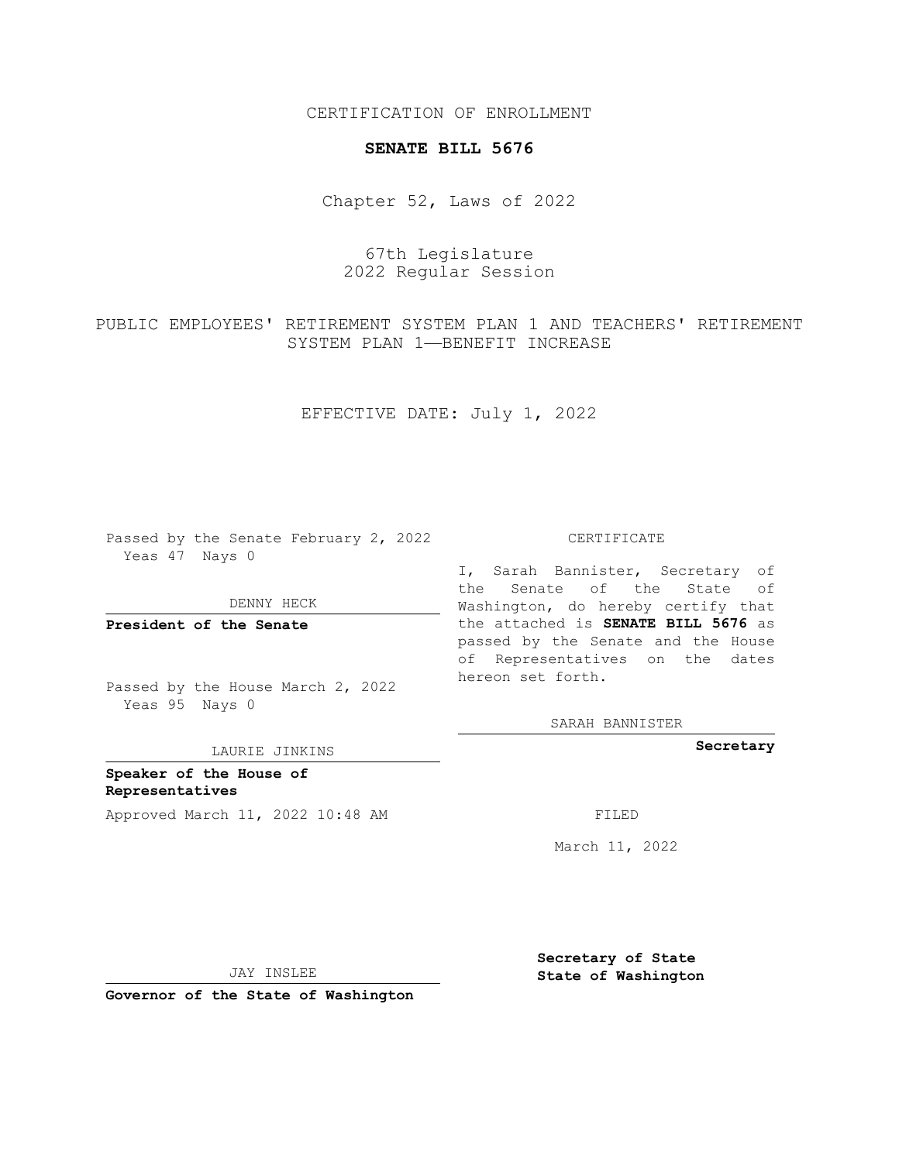CERTIFICATION OF ENROLLMENT

## **SENATE BILL 5676**

Chapter 52, Laws of 2022

67th Legislature 2022 Regular Session

PUBLIC EMPLOYEES' RETIREMENT SYSTEM PLAN 1 AND TEACHERS' RETIREMENT SYSTEM PLAN 1—BENEFIT INCREASE

EFFECTIVE DATE: July 1, 2022

Passed by the Senate February 2, 2022 Yeas 47 Nays 0

DENNY HECK

**President of the Senate**

Passed by the House March 2, 2022 Yeas 95 Nays 0

LAURIE JINKINS

**Speaker of the House of Representatives** Approved March 11, 2022 10:48 AM FILED

CERTIFICATE

I, Sarah Bannister, Secretary of the Senate of the State of Washington, do hereby certify that the attached is **SENATE BILL 5676** as passed by the Senate and the House of Representatives on the dates hereon set forth.

SARAH BANNISTER

**Secretary**

March 11, 2022

**Secretary of State**

JAY INSLEE

 **State of Washington**

**Governor of the State of Washington**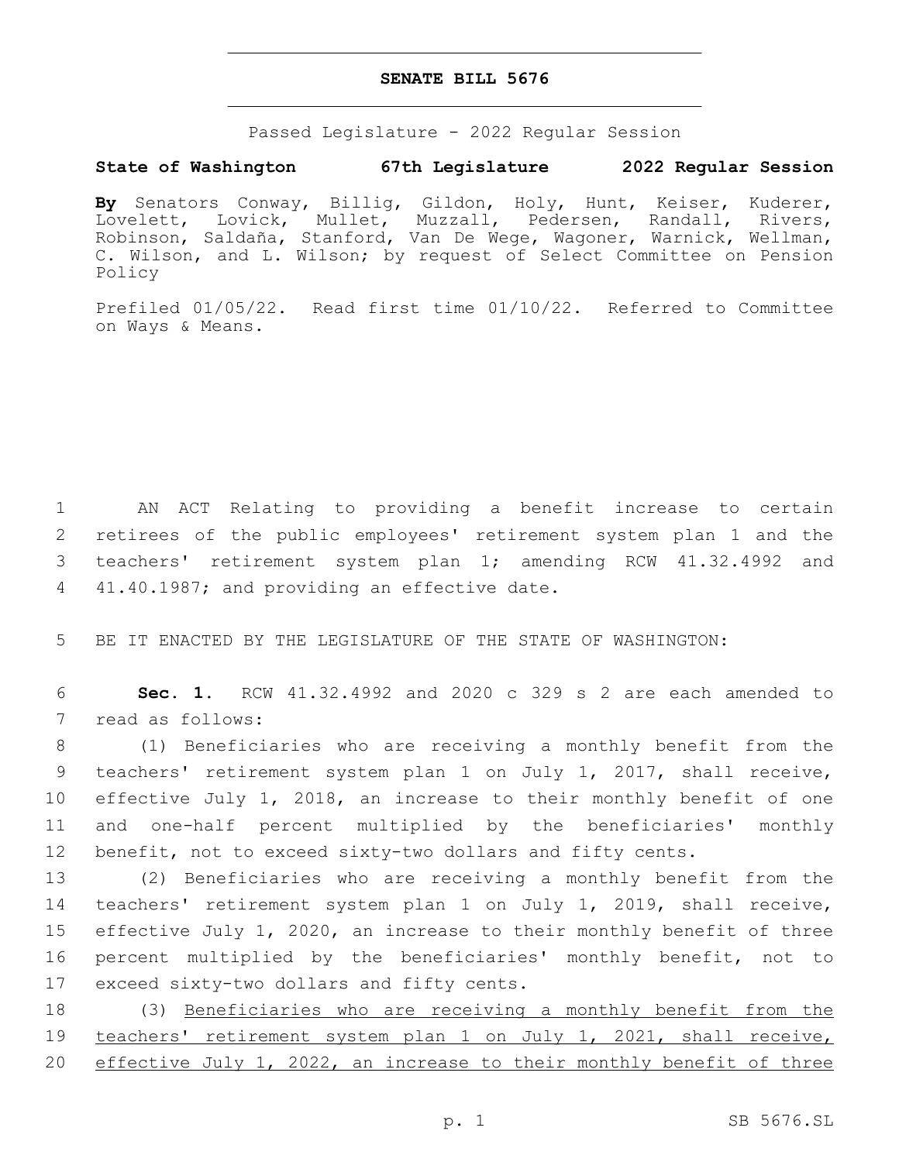## **SENATE BILL 5676**

Passed Legislature - 2022 Regular Session

## **State of Washington 67th Legislature 2022 Regular Session**

**By** Senators Conway, Billig, Gildon, Holy, Hunt, Keiser, Kuderer, Lovelett, Lovick, Mullet, Muzzall, Pedersen, Randall, Rivers, Robinson, Saldaña, Stanford, Van De Wege, Wagoner, Warnick, Wellman, C. Wilson, and L. Wilson; by request of Select Committee on Pension Policy

Prefiled 01/05/22. Read first time 01/10/22. Referred to Committee on Ways & Means.

 AN ACT Relating to providing a benefit increase to certain retirees of the public employees' retirement system plan 1 and the teachers' retirement system plan 1; amending RCW 41.32.4992 and 4 41.40.1987; and providing an effective date.

5 BE IT ENACTED BY THE LEGISLATURE OF THE STATE OF WASHINGTON:

6 **Sec. 1.** RCW 41.32.4992 and 2020 c 329 s 2 are each amended to 7 read as follows:

 (1) Beneficiaries who are receiving a monthly benefit from the teachers' retirement system plan 1 on July 1, 2017, shall receive, effective July 1, 2018, an increase to their monthly benefit of one and one-half percent multiplied by the beneficiaries' monthly benefit, not to exceed sixty-two dollars and fifty cents.

 (2) Beneficiaries who are receiving a monthly benefit from the teachers' retirement system plan 1 on July 1, 2019, shall receive, effective July 1, 2020, an increase to their monthly benefit of three percent multiplied by the beneficiaries' monthly benefit, not to 17 exceed sixty-two dollars and fifty cents.

18 (3) Beneficiaries who are receiving a monthly benefit from the 19 teachers' retirement system plan 1 on July 1, 2021, shall receive, 20 effective July 1, 2022, an increase to their monthly benefit of three